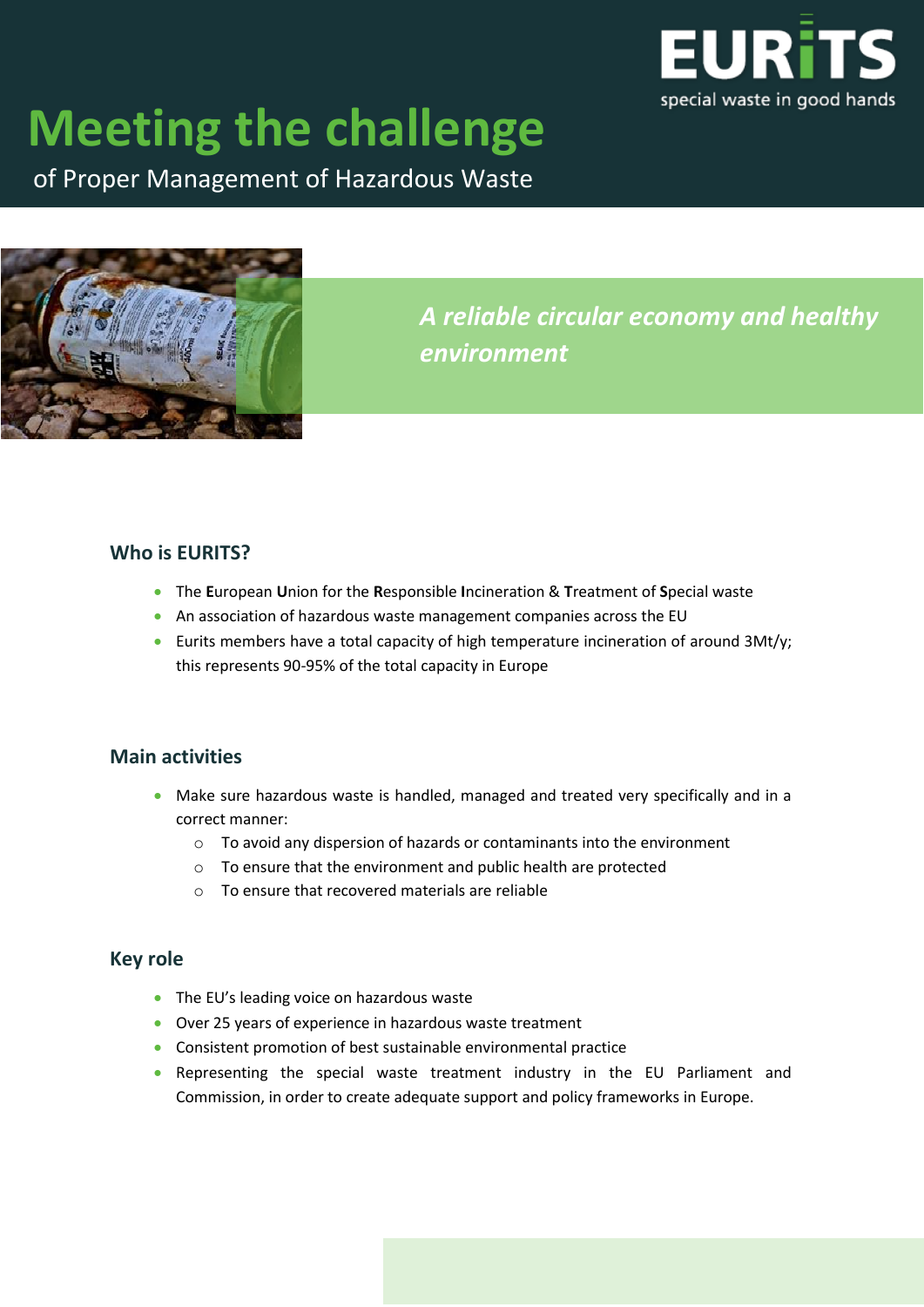

# **Meeting the challenge**

of Proper Management of Hazardous Waste



*A reliable circular economy and healthy environment*

#### **Who is EURITS?**

- The **E**uropean **U**nion for the **R**esponsible **I**ncineration & **T**reatment of **S**pecial waste
- An association of hazardous waste management companies across the EU
- Eurits members have a total capacity of high temperature incineration of around 3Mt/y; this represents 90-95% of the total capacity in Europe

## **Main activities**

- Make sure hazardous waste is handled, managed and treated very specifically and in a correct manner:
	- o To avoid any dispersion of hazards or contaminants into the environment
	- o To ensure that the environment and public health are protected
	- $\circ$  To ensure that recovered materials are reliable

## **Key role**

- The EU's leading voice on hazardous waste
- Over 25 years of experience in hazardous waste treatment
- Consistent promotion of best sustainable environmental practice
- Representing the special waste treatment industry in the EU Parliament and Commission, in order to create adequate support and policy frameworks in Europe.